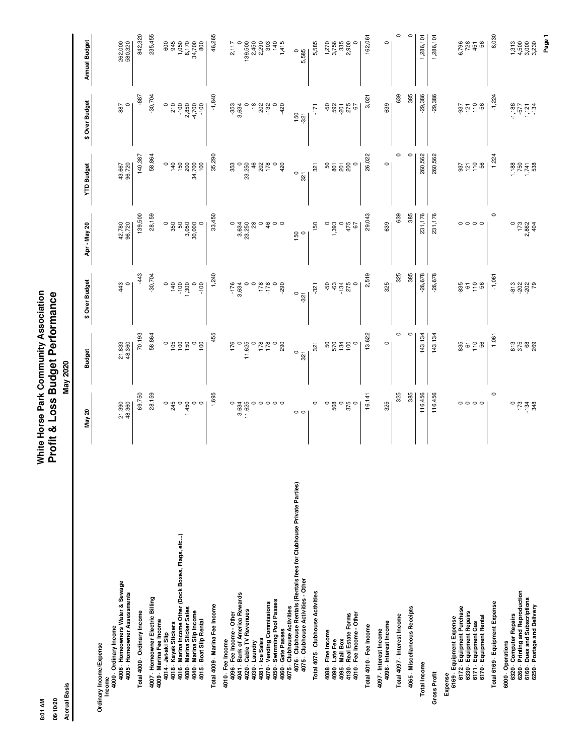White Horse Park Community Association<br>Profit & Loss Budget Performance **8:01 AM White Horse Park Community Association 06/10/20 Profit & Loss Budget Performance**

06/10/20 8:01 AM

| <b>Accrual Basis</b>                                                                                                                       |                               | May 2020                           |                            |                                                               |                                                         |                                          |                                                                                           |
|--------------------------------------------------------------------------------------------------------------------------------------------|-------------------------------|------------------------------------|----------------------------|---------------------------------------------------------------|---------------------------------------------------------|------------------------------------------|-------------------------------------------------------------------------------------------|
|                                                                                                                                            | May 20                        | <b>Budget</b>                      | \$ Over Budget             | Apr-May 20                                                    | <b>YTD Budget</b>                                       | \$ Over Budget                           | <b>Annual Budget</b>                                                                      |
| 4006 Homeowners Water & Sewage<br>4005 - Homeowner Assessments<br>4000 Ordinary Income<br>Ordinary Income/Expense<br>Income                | 21,390<br>48,360              | 21,833<br>48,360                   | $43^{\circ}$               | 42,780<br>96,720                                              | 43,667<br>96,720                                        | $\circ$<br>-887                          | 262,000<br>580,320                                                                        |
| Total 4000 Ordinary Income                                                                                                                 | 69,750                        | 70,193                             | -443                       | 139,500                                                       | 140,387                                                 | -887                                     | 842,320                                                                                   |
| 4007 - Homeowner Electric Billing                                                                                                          | 28,159                        | 58,864                             | $-30,704$                  | 28,159                                                        | 58,864                                                  | $-30,704$                                | 235,455                                                                                   |
| 4009 Marina Fee Income<br>4018 Kayak Stickers<br>4014 Jet-ski Slip                                                                         | $\circ$ $\frac{5}{8}$ $\circ$ | $\circ$                            | $\circ$                    | ី<br>ភូមិ<br>ភូមិ                                             | $\circ$                                                 | $\circ$                                  |                                                                                           |
| 4016 Marina Income Other (Dock Boxes, Flags, etc)                                                                                          |                               | 1050                               | 140                        |                                                               | 150                                                     | $\frac{210}{100}$                        |                                                                                           |
| 4080 Marina Sticker Sales<br>4040 - Marina Slip Income<br>4015 Boat Slip Rental                                                            | ,450<br>$\circ$<br>$\circ$    | $\circ$<br>100                     | 1,300<br>$-100$<br>$\circ$ | 3,050<br>30,000<br>$\circ$                                    | 200<br>34,700<br>100                                    | 2,850<br>4,700<br>-100                   | 600<br>945<br>9450<br>947700<br>800<br>900                                                |
| Total 4009 Marina Fee Income                                                                                                               | 1,695                         | 455                                | 1,240                      | 33,450                                                        | 35,290                                                  | $-1,840$                                 | 46,265                                                                                    |
| 4096 Fee Income - Other<br>4010 - Fee Income                                                                                               |                               | 176                                |                            | $\circ$                                                       | 353                                                     |                                          | 2,117                                                                                     |
| 4041 Bank of America Rewards                                                                                                               | 3,634                         | $\circ$                            | $-176$<br>3,634            | 3,634<br>23,250                                               | $\circ$                                                 | $-353$<br>3,634                          | $\circ$                                                                                   |
| 4020 Cable TV Revenues<br>4030 Laundry                                                                                                     | 11,625<br>$\circ$             | 11,625<br>$\circ$                  | $\circ$<br>$\circ$         | $^{8}$                                                        | 23,250<br>46                                            | $\circ$<br>$\frac{8}{10}$                |                                                                                           |
| 4081 - Ice Sales                                                                                                                           |                               | 178                                | $-178$                     | $\circ$                                                       | 202                                                     | $-202$                                   |                                                                                           |
| 4070 Vending Commissions                                                                                                                   | 0000                          | $^{178}_{-0.00}$                   | $\circ$                    | $\frac{6}{4}$ 0 0                                             | 178                                                     | $\circ$                                  | $\begin{array}{r} 139,500 \\ 2,450 \\ 2,290 \\ 2,03 \\ 303 \\ 445 \\ 1415 \\ \end{array}$ |
| 4050 · Swimming Pool Passes<br>4060 · Gate Passes<br>4075 · Clubhouse Activities                                                           |                               |                                    | -290                       |                                                               | 420                                                     | -420                                     |                                                                                           |
| 4076 - Clubhouse Rentals (Rentals fees for Clubhouse Private Parties)<br>4075 Clubhouse Activities - Other                                 | $\circ$                       | $\circ$<br>321                     | $\circ$<br>$-321$          | 150<br>$\circ$                                                | $\circ$<br>321                                          | $150$<br>$-321$                          | 5,585<br>0<br>0                                                                           |
| Total 4075 Clubhouse Activities                                                                                                            | $\circ$                       | 321                                | 321                        | 150                                                           | 321                                                     | $-171$                                   | 5,585                                                                                     |
| 4088 Fine Income<br>4090 Late Fee                                                                                                          | $\circ$<br>508                |                                    | දි<br>Ş,                   | 1,393<br>$\circ$                                              | 50<br>801                                               | -50                                      |                                                                                           |
| 4130 - Real Estate Forms<br>4095 - Mail Box                                                                                                | $\circ$                       |                                    | $-134$<br>275              | $\circ$                                                       | $\frac{5}{200}$                                         | 5975<br>575<br>576                       | $7,756$<br>$3,756$<br>$3,350$<br>$2,900$                                                  |
| 4010 - Fee Income - Other                                                                                                                  | 375                           | $\circ$                            | $\circ$                    | 475<br>67                                                     | $\circ$                                                 |                                          | $\circ$                                                                                   |
| Total 4010 - Fee Income                                                                                                                    | 16,141                        | 13,622                             | 2,519                      | 29,043                                                        | 26,022                                                  | 3,021                                    | 162,061                                                                                   |
| 4098 - Interest Income<br>4097 - Interest Income                                                                                           | 325                           | $\circ$                            | 325                        | 639                                                           | $\circ$                                                 | 639                                      | $\circ$                                                                                   |
| Total 4097 - Interest Income                                                                                                               | 325                           | $\circ$                            | 325                        | 639                                                           | $\circ$                                                 | 639                                      | $\circ$                                                                                   |
| 4065 Miscellaneous Receipts                                                                                                                | 385                           | $\circ$                            | 385                        | 385                                                           | $\circ$                                                 | 385                                      | $\circ$                                                                                   |
| <b>Total Income</b>                                                                                                                        | 116,456                       | 143,134                            | $-26,678$                  | 231,176                                                       | 260,562                                                 | $-29,386$                                | 1,286,101                                                                                 |
| Gross Profit                                                                                                                               | 116,456                       | 143,134                            | $-26,678$                  | 231,176                                                       | 260,562                                                 | $-29,386$                                | 1,286,101                                                                                 |
| 6172 · Equipment Purchase<br>6330 Equipment Repairs<br>6169 - Equipment Expense<br>Expense                                                 | $\circ \circ \circ \circ$     | 835000000000000                    | 835                        | 0000                                                          | $\frac{2}{3}$ $\frac{1}{2}$ $\frac{1}{6}$ $\frac{1}{6}$ | 37708                                    | 6,796<br>728<br>451<br>56                                                                 |
| 6171 Equipment Gas<br>6170 Equipment Rental                                                                                                |                               |                                    | $\frac{10}{10}$            |                                                               |                                                         |                                          |                                                                                           |
| Total 6169 Equipment Expense                                                                                                               | $\circ$                       | 1,061                              | $-1,061$                   | $\circ$                                                       | 1,224                                                   | $-1,224$                                 | 8,030                                                                                     |
| 6320 Computer Repairs<br>6260 Printing and Reproduction<br>6160 Dues and Subscriptions<br>6250 - Postage and Delivery<br>6000 - Operations | $\circ$<br>$1,34$<br>$248$    | $\frac{38}{37}$<br>$\frac{88}{30}$ |                            | $\circ$<br>$\begin{array}{r} 173 \\ 2,862 \\ 404 \end{array}$ | $\frac{1,188}{750}$<br>1,741<br>538                     | $-1,188$<br>$-577$<br>$1,121$<br>$1,134$ |                                                                                           |
|                                                                                                                                            |                               |                                    |                            |                                                               |                                                         |                                          | Page 1                                                                                    |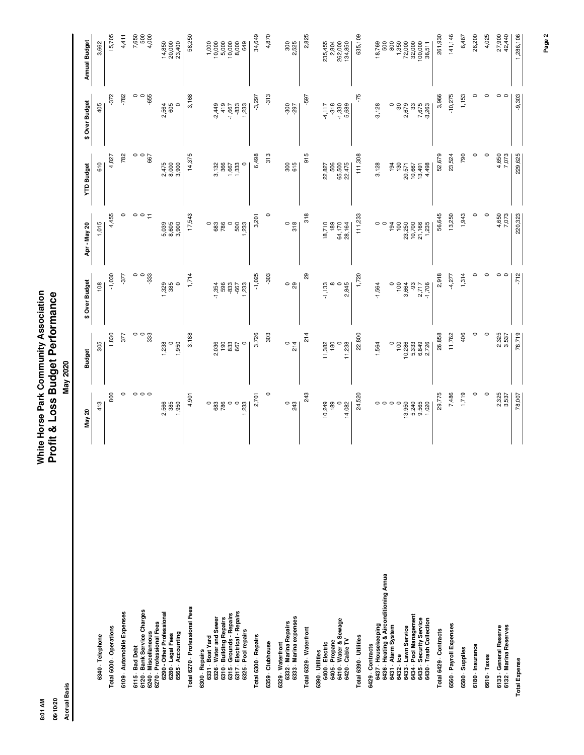White Horse Park Community Association<br>Profit & Loss Budget Performance **8:01 AM White Horse Park Community Association 06/10/20 Profit & Loss Budget Performance** May 2020 **Accrual Basis May 2020**

| ξ<br>ទី | 06/10/20 | Basis<br>Accrual |
|---------|----------|------------------|
|---------|----------|------------------|

|                                                                                                                                                                                                                     | May 20                                                               | <b>Budget</b>                                                | \$ Over Budget                                                     | Apr - May 20                                                 | <b>YTD Budget</b>                                          | \$ Over Budget                                                       | Annual Budget                                                          |
|---------------------------------------------------------------------------------------------------------------------------------------------------------------------------------------------------------------------|----------------------------------------------------------------------|--------------------------------------------------------------|--------------------------------------------------------------------|--------------------------------------------------------------|------------------------------------------------------------|----------------------------------------------------------------------|------------------------------------------------------------------------|
| 6340 · Telephone                                                                                                                                                                                                    | 413                                                                  | 305                                                          | 108                                                                | 1,015                                                        | 610                                                        | 405                                                                  | 3,662                                                                  |
| Total 6000 - Operations                                                                                                                                                                                             | 800                                                                  | 1,830                                                        | $-1,030$                                                           | 4,455                                                        | 4,827                                                      | -372                                                                 | 15,705                                                                 |
| 6109 Automobile Expenses                                                                                                                                                                                            | $\circ$                                                              | 377                                                          | $-377$                                                             | $\circ$                                                      | 782                                                        | $-782$                                                               | 4,411                                                                  |
| 6120 Bank Service Charges<br>6240 - Miscellaneous<br>6115 Bad Debt                                                                                                                                                  | $\circ$<br>$\circ$                                                   | 0<br>$\circ$<br>333                                          | $\circ$<br>$\circ$<br>$-333$                                       | $\circ$ $\overline{\phantom{a}}$<br>$\circ$                  | $\frac{299}{90}$                                           | $\circ$<br>$\circ$<br>-655                                           | 7,650<br>500<br>4,000                                                  |
| 6290 - Other Professional<br>6270 - Professional Fees<br>6565 Accounting<br>6280 Legal Fees                                                                                                                         | 2,566<br>385<br>1,950                                                | 1,950<br>1,238<br>0                                          | 1,329<br>385<br>$\circ$                                            | 8,605<br>3,900<br>5,039                                      | 2,475<br>8,000<br>3,900                                    | 2,564<br>605<br>$\circ$                                              | 20,000<br>23,400<br>14,850                                             |
| Total 6270 Professional Fees                                                                                                                                                                                        | 4,901                                                                | 3,188                                                        | 1,714                                                              | 17,543                                                       | 14,375                                                     | 3,168                                                                | 58,250                                                                 |
| 6317 Electrical - Repairs<br>6315 Grounds - Repairs<br>6331 Boat Yard<br>6326 Water and Sewer<br>6310 Building Repairs<br>6325 - Pool repairs<br>6300 - Repairs                                                     | $\circ$<br>683<br>786<br>$\circ$<br>$\circ$<br>233                   | 190<br>833<br>667<br>2,036<br>$\circ$                        | 833<br>596<br>233<br>$-1,354$<br>-667                              | 786<br>$\circ$<br>500<br>$\circ$<br>683<br>,233              | 3,132<br>366<br>1,667<br>1,333<br>$\circ$                  | 419<br>$-833$<br>$-2,449$<br>1,233<br>$-1,667$                       | 10,000<br>5,000<br>10,000<br>8,000<br>649<br>1,000                     |
| Total 6300 - Repairs                                                                                                                                                                                                | 2,701                                                                | 3,726                                                        | $-1,025$                                                           | 3,201                                                        | 6,498                                                      | $-3,297$                                                             | 34,649                                                                 |
| 6359 Clubhouse                                                                                                                                                                                                      | $\circ$                                                              | 303                                                          | $-303$                                                             | $\circ$                                                      | 313                                                        | $-313$                                                               | 4,870                                                                  |
| 6333 Marina expenses<br>6332 Marina Repairs<br>6329 Waterfront                                                                                                                                                      | $0\frac{3}{43}$                                                      | $\circ$<br>214                                               | $\circ$ $\frac{8}{2}$                                              | $\frac{8}{5}$                                                | 300<br>615                                                 | -300<br>787                                                          | 300<br>2,525                                                           |
| Total 6329 Waterfront                                                                                                                                                                                               | 243                                                                  | 214                                                          | 29                                                                 | 318                                                          | 915                                                        | -597                                                                 | 2,825                                                                  |
| 6410 Water & Sewage<br>6420 - Cable TV<br>6405 Propane<br>6400 Electric<br>6390 Utilities                                                                                                                           | 10,249<br>189<br>$\circ$<br>14,082                                   | 11,238<br>11,382<br>180<br>0                                 | $rac{8}{2.845}$<br>$-1,133$                                        | 189<br>64,170<br>18,710<br>28,164                            | 65,500<br>22,475<br>506<br>22,827                          | $-318$<br>$-1,330$<br>$5,689$<br>4,117                               | 235,455<br>2,804<br>262,000<br>134,850                                 |
| Total 6390 - Utilities                                                                                                                                                                                              | 24,520                                                               | 22,800                                                       | 1,720                                                              | 111,233                                                      | 111,308                                                    | -75                                                                  | 635,109                                                                |
| 6436 · Heating & Airconditioning Annua<br>6434 Pool Management<br>6435 Security Service<br>6430 - Trash Collection<br>6437 Housekeeping<br>6431 Alarm System<br>6433 - Lawn Service<br>6429 Contracts<br>6432 - Ice | $\circ$<br>$\circ$<br>$\circ$<br>$13,950$<br>5,240<br>9,565<br>1,020 | 6,849<br>$\circ$<br>100<br>10,286<br>5,333<br>2,726<br>1,564 | $-100$<br>3,664<br>-93<br>2,717<br>$-1,706$<br>$-1,564$<br>$\circ$ | 21,166<br>$\circ$<br>194<br>100<br>23,250<br>10,700<br>1,235 | 3,128<br>130<br>20,571<br>10,667<br>13,498<br>4,498<br>194 | 7,675<br>2,679<br>$-3,128$<br>$\circ$<br>$\overline{30}$<br>$-3,263$ | 18,769<br>500<br>1,350<br>72,000<br>32,000<br>100,000<br>800<br>36,511 |
| Total 6429 - Contracts                                                                                                                                                                                              | 29,775                                                               | 26,858                                                       | 2,918                                                              | 56,645                                                       | 52,679                                                     | 3,966                                                                | 261,930                                                                |
| 6560 Payroll Expenses                                                                                                                                                                                               | 7,486                                                                | 11,762                                                       | $-4,277$                                                           | 13,250                                                       | 23,524                                                     | $-10,275$                                                            | 141,146                                                                |
| 6580 - Supplies                                                                                                                                                                                                     | 1,719                                                                | 406                                                          | 1,314                                                              | 1,943                                                        | 790                                                        | 1,153                                                                | 6,467                                                                  |
| 6180 - Insurance                                                                                                                                                                                                    | $\circ$                                                              | 0                                                            | 0                                                                  | 0                                                            | $\circ$                                                    | 0                                                                    | 26,200                                                                 |
| 6610 Taxes                                                                                                                                                                                                          | $\circ$                                                              | $\circ$                                                      | 0                                                                  | $\circ$                                                      | $\circ$                                                    | $\circ$                                                              | 4,025                                                                  |
| 6132 - Marina Reserves<br>6133 - General Reserve                                                                                                                                                                    | 2,325<br>3,537                                                       | 2,325<br>3,537                                               | $\circ$<br>$\circ$                                                 | 4,650<br>7,073                                               | 4,650<br>7,073                                             | $\circ$<br>$\circ$                                                   | 27,900<br>42,440                                                       |
| <b>Total Expense</b>                                                                                                                                                                                                | 78,007                                                               | 78,719                                                       | $-712$                                                             | 220,323                                                      | 229,625                                                    | $-9,303$                                                             | 1,286,106                                                              |

**Page 2**